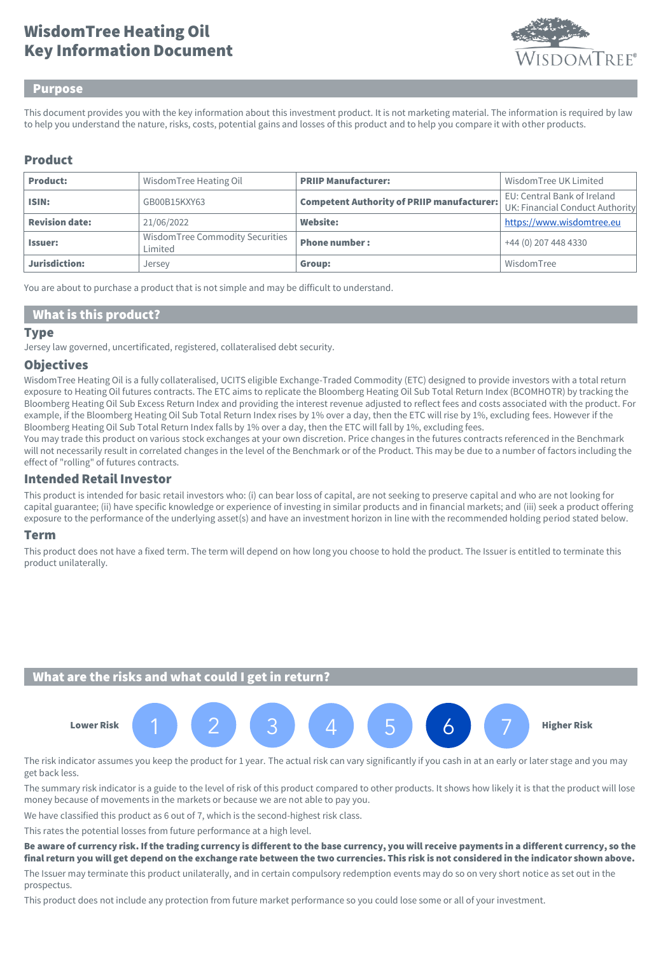# Key Information Document WisdomTree Heating Oil



### Purpose

This document provides you with the key information about this investment product. It is not marketing material. The information is required by law to help you understand the nature, risks, costs, potential gains and losses of this product and to help you compare it with other products.

## Product

| <b>Product:</b>       | Wisdom Tree Heating Oil                    | <b>PRIIP Manufacturer:</b>                        | Wisdom Tree UK Limited                                         |
|-----------------------|--------------------------------------------|---------------------------------------------------|----------------------------------------------------------------|
| ISIN:                 | GB00B15KXY63                               | <b>Competent Authority of PRIIP manufacturer:</b> | EU: Central Bank of Ireland<br>UK: Financial Conduct Authority |
| <b>Revision date:</b> | 21/06/2022                                 | Website:                                          | https://www.wisdomtree.eu                                      |
| <b>Issuer:</b>        | WisdomTree Commodity Securities<br>Limited | <b>Phone number:</b>                              | +44 (0) 207 448 4330                                           |
| Jurisdiction:         | Jersey                                     | Group:                                            | WisdomTree                                                     |

You are about to purchase a product that is not simple and may be difficult to understand.

### What is this product?

#### Type

Jersey law governed, uncertificated, registered, collateralised debt security.

### **Objectives**

WisdomTree Heating Oil is a fully collateralised, UCITS eligible Exchange-Traded Commodity (ETC) designed to provide investors with a total return exposure to Heating Oil futures contracts. The ETC aims to replicate the Bloomberg Heating Oil Sub Total Return Index (BCOMHOTR) by tracking the Bloomberg Heating Oil Sub Excess Return Index and providing the interest revenue adjusted to reflect fees and costs associated with the product. For example, if the Bloomberg Heating Oil Sub Total Return Index rises by 1% over a day, then the ETC will rise by 1%, excluding fees. However if the Bloomberg Heating Oil Sub Total Return Index falls by 1% over a day, then the ETC will fall by 1%, excluding fees.

You may trade this product on various stock exchanges at your own discretion. Price changes in the futures contracts referenced in the Benchmark will not necessarily result in correlated changes in the level of the Benchmark or of the Product. This may be due to a number of factors including the effect of "rolling" of futures contracts.

### Intended Retail Investor

This product is intended for basic retail investors who: (i) can bear loss of capital, are not seeking to preserve capital and who are not looking for capital guarantee; (ii) have specific knowledge or experience of investing in similar products and in financial markets; and (iii) seek a product offering exposure to the performance of the underlying asset(s) and have an investment horizon in line with the recommended holding period stated below.

### Term

This product does not have a fixed term. The term will depend on how long you choose to hold the product. The Issuer is entitled to terminate this product unilaterally.

## What are the risks and what could I get in return?



The risk indicator assumes you keep the product for 1 year. The actual risk can vary significantly if you cash in at an early or later stage and you may get back less.

The summary risk indicator is a guide to the level of risk of this product compared to other products. It shows how likely it is that the product will lose money because of movements in the markets or because we are not able to pay you.

We have classified this product as 6 out of 7, which is the second-highest risk class.

This rates the potential losses from future performance at a high level.

#### Be aware of currency risk. If the trading currency is different to the base currency, you will receive payments in a different currency, so the final return you will get depend on the exchange rate between the two currencies. This risk is not considered in the indicator shown above.

The Issuer may terminate this product unilaterally, and in certain compulsory redemption events may do so on very short notice as set out in the prospectus.

This product does not include any protection from future market performance so you could lose some or all of your investment.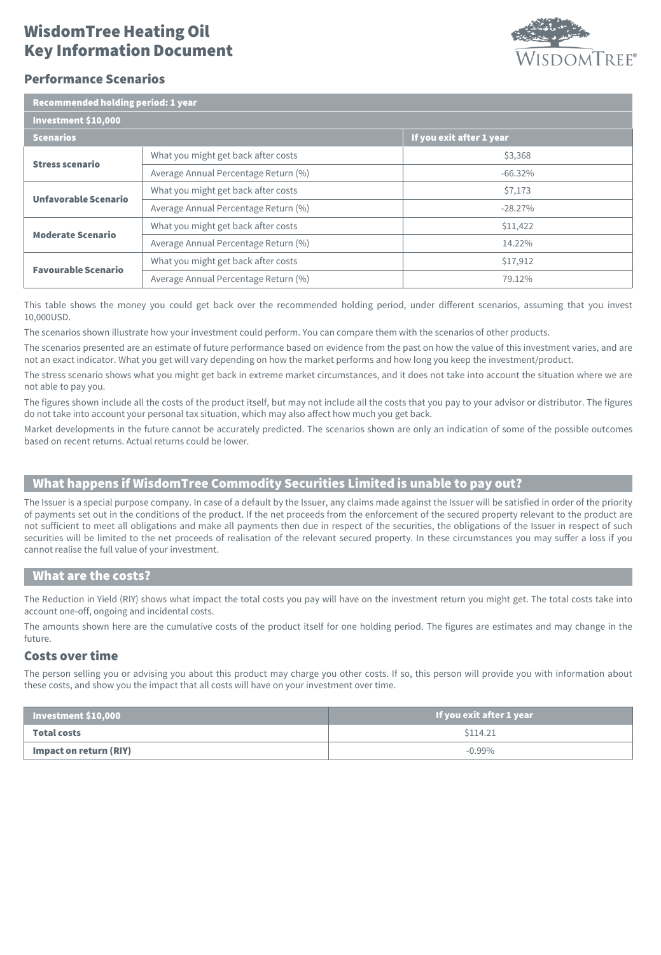## Key Information Document WisdomTree Heating Oil



### Performance Scenarios

| Recommended holding period: 1 year |  |
|------------------------------------|--|
|                                    |  |

| Investment \$10,000         |                                      |                          |  |  |
|-----------------------------|--------------------------------------|--------------------------|--|--|
| <b>Scenarios</b>            |                                      | If you exit after 1 year |  |  |
| <b>Stress scenario</b>      | What you might get back after costs  | \$3,368                  |  |  |
|                             | Average Annual Percentage Return (%) | $-66.32%$                |  |  |
| <b>Unfavorable Scenario</b> | What you might get back after costs  | \$7,173                  |  |  |
|                             | Average Annual Percentage Return (%) | $-28.27%$                |  |  |
| <b>Moderate Scenario</b>    | What you might get back after costs  | \$11,422                 |  |  |
|                             | Average Annual Percentage Return (%) | 14.22%                   |  |  |
| <b>Favourable Scenario</b>  | What you might get back after costs  | \$17,912                 |  |  |
|                             | Average Annual Percentage Return (%) | 79.12%                   |  |  |

This table shows the money you could get back over the recommended holding period, under different scenarios, assuming that you invest 10,000USD.

The scenarios shown illustrate how your investment could perform. You can compare them with the scenarios of other products.

The scenarios presented are an estimate of future performance based on evidence from the past on how the value of this investment varies, and are not an exact indicator. What you get will vary depending on how the market performs and how long you keep the investment/product.

The stress scenario shows what you might get back in extreme market circumstances, and it does not take into account the situation where we are not able to pay you.

The figures shown include all the costs of the product itself, but may not include all the costs that you pay to your advisor or distributor. The figures do not take into account your personal tax situation, which may also affect how much you get back.

Market developments in the future cannot be accurately predicted. The scenarios shown are only an indication of some of the possible outcomes based on recent returns. Actual returns could be lower.

## What happens if WisdomTree Commodity Securities Limited is unable to pay out?

The Issuer is a special purpose company. In case of a default by the Issuer, any claims made against the Issuer will be satisfied in order of the priority of payments set out in the conditions of the product. If the net proceeds from the enforcement of the secured property relevant to the product are not sufficient to meet all obligations and make all payments then due in respect of the securities, the obligations of the Issuer in respect of such securities will be limited to the net proceeds of realisation of the relevant secured property. In these circumstances you may suffer a loss if you cannot realise the full value of your investment.

### What are the costs?

The Reduction in Yield (RIY) shows what impact the total costs you pay will have on the investment return you might get. The total costs take into account one-off, ongoing and incidental costs.

The amounts shown here are the cumulative costs of the product itself for one holding period. The figures are estimates and may change in the future.

### Costs over time

The person selling you or advising you about this product may charge you other costs. If so, this person will provide you with information about these costs, and show you the impact that all costs will have on your investment over time.

| $\vert$ Investment \$10,000 $\vert$ | If you exit after 1 year |
|-------------------------------------|--------------------------|
| Total costs                         | \$114.21                 |
| Impact on return (RIY)              | $-0.99\%$                |